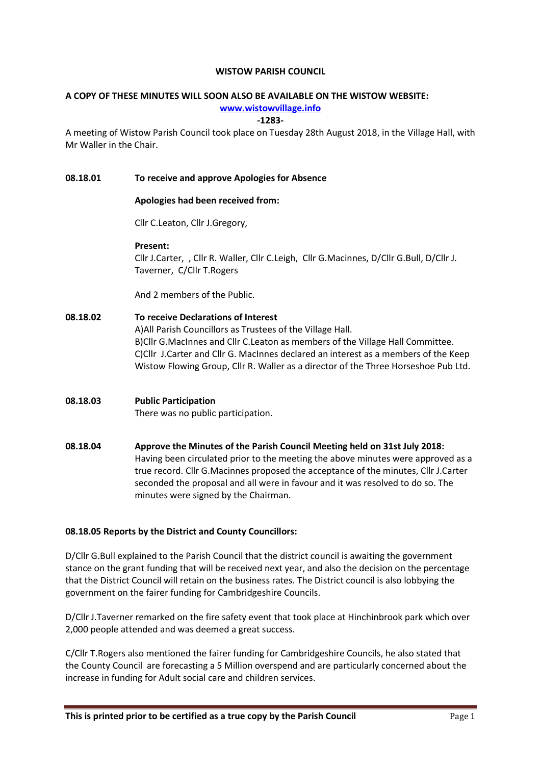#### WISTOW PARISH COUNCIL

# A COPY OF THESE MINUTES WILL SOON ALSO BE AVAILABLE ON THE WISTOW WEBSITE:

# www.wistowvillage.info

#### -1283-

A meeting of Wistow Parish Council took place on Tuesday 28th August 2018, in the Village Hall, with Mr Waller in the Chair.

## 08.18.01 To receive and approve Apologies for Absence

### Apologies had been received from:

Cllr C.Leaton, Cllr J.Gregory,

### Present:

Cllr J.Carter, , Cllr R. Waller, Cllr C.Leigh, Cllr G.Macinnes, D/Cllr G.Bull, D/Cllr J. Taverner, C/Cllr T.Rogers

And 2 members of the Public.

# 08.18.02 To receive Declarations of Interest A)All Parish Councillors as Trustees of the Village Hall. B)Cllr G.MacInnes and Cllr C.Leaton as members of the Village Hall Committee. C)Cllr J.Carter and Cllr G. MacInnes declared an interest as a members of the Keep Wistow Flowing Group, Cllr R. Waller as a director of the Three Horseshoe Pub Ltd.

# 08.18.03 Public Participation There was no public participation.

08.18.04 Approve the Minutes of the Parish Council Meeting held on 31st July 2018: Having been circulated prior to the meeting the above minutes were approved as a true record. Cllr G.Macinnes proposed the acceptance of the minutes, Cllr J.Carter seconded the proposal and all were in favour and it was resolved to do so. The minutes were signed by the Chairman.

# 08.18.05 Reports by the District and County Councillors:

D/Cllr G.Bull explained to the Parish Council that the district council is awaiting the government stance on the grant funding that will be received next year, and also the decision on the percentage that the District Council will retain on the business rates. The District council is also lobbying the government on the fairer funding for Cambridgeshire Councils.

D/Cllr J.Taverner remarked on the fire safety event that took place at Hinchinbrook park which over 2,000 people attended and was deemed a great success.

C/Cllr T.Rogers also mentioned the fairer funding for Cambridgeshire Councils, he also stated that the County Council are forecasting a 5 Million overspend and are particularly concerned about the increase in funding for Adult social care and children services.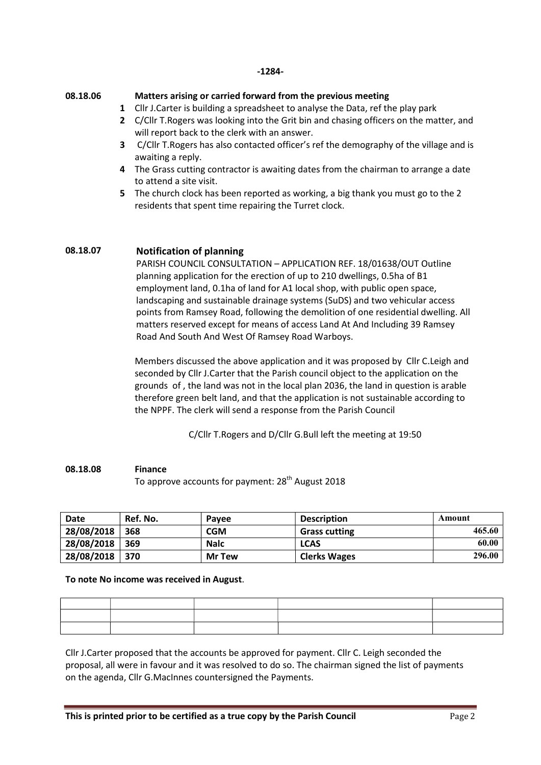#### -1284-

#### 08.18.06

#### Matters arising or carried forward from the previous meeting

- 1 Cllr J.Carter is building a spreadsheet to analyse the Data, ref the play park
- 2 C/Cllr T. Rogers was looking into the Grit bin and chasing officers on the matter, and will report back to the clerk with an answer.
- 3 C/Cllr T. Rogers has also contacted officer's ref the demography of the village and is awaiting a reply.
- 4 The Grass cutting contractor is awaiting dates from the chairman to arrange a date to attend a site visit.
- 5 The church clock has been reported as working, a big thank you must go to the 2 residents that spent time repairing the Turret clock.

# 08.18.07 Notification of planning

PARISH COUNCIL CONSULTATION – APPLICATION REF. 18/01638/OUT Outline planning application for the erection of up to 210 dwellings, 0.5ha of B1 employment land, 0.1ha of land for A1 local shop, with public open space, landscaping and sustainable drainage systems (SuDS) and two vehicular access points from Ramsey Road, following the demolition of one residential dwelling. All matters reserved except for means of access Land At And Including 39 Ramsey Road And South And West Of Ramsey Road Warboys.

Members discussed the above application and it was proposed by Cllr C.Leigh and seconded by Cllr J.Carter that the Parish council object to the application on the grounds of , the land was not in the local plan 2036, the land in question is arable therefore green belt land, and that the application is not sustainable according to the NPPF. The clerk will send a response from the Parish Council

C/Cllr T.Rogers and D/Cllr G.Bull left the meeting at 19:50

#### 08.18.08 Finance

To approve accounts for payment: 28<sup>th</sup> August 2018

| <b>Date</b> | Ref. No. | <b>Pavee</b>  | <b>Description</b>   | Amount |
|-------------|----------|---------------|----------------------|--------|
| 28/08/2018  | 368      | <b>CGM</b>    | <b>Grass cutting</b> | 465.60 |
| 28/08/2018  | 369      | <b>Nalc</b>   | <b>LCAS</b>          | 60.00  |
| 28/08/2018  | 370      | <b>Mr Tew</b> | <b>Clerks Wages</b>  | 296.00 |

#### To note No income was received in August.

| the contract of the contract of the contract of the contract of the contract of the contract of the contract of |                                                                                                                 |  |
|-----------------------------------------------------------------------------------------------------------------|-----------------------------------------------------------------------------------------------------------------|--|
|                                                                                                                 | the contract of the contract of the contract of the contract of the contract of the contract of the contract of |  |
|                                                                                                                 |                                                                                                                 |  |

Cllr J.Carter proposed that the accounts be approved for payment. Cllr C. Leigh seconded the proposal, all were in favour and it was resolved to do so. The chairman signed the list of payments on the agenda, Cllr G.MacInnes countersigned the Payments.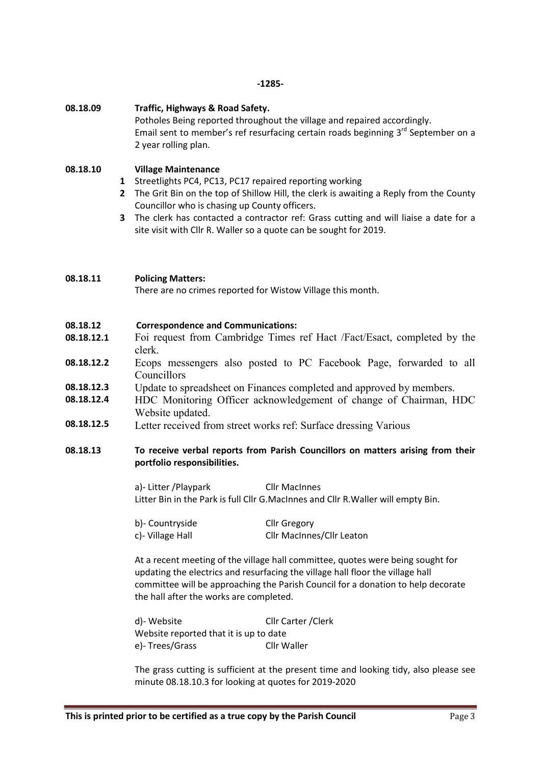#### -1285-

### 08.18.09 Traffic, Highways & Road Safety.

Potholes Being reported throughout the village and repaired accordingly. Email sent to member's ref resurfacing certain roads beginning 3<sup>rd</sup> September on a 2 year rolling plan.

#### 08.18.10 Village Maintenance

- 1 Streetlights PC4, PC13, PC17 repaired reporting working
- 2 The Grit Bin on the top of Shillow Hill, the clerk is awaiting a Reply from the County Councillor who is chasing up County officers.
- 3 The clerk has contacted a contractor ref: Grass cutting and will liaise a date for a site visit with Cllr R. Waller so a quote can be sought for 2019.

### 08.18.11 Policing Matters:

There are no crimes reported for Wistow Village this month.

### 08.18.12 Correspondence and Communications:

- 08.18.12.1 Foi request from Cambridge Times ref Hact /Fact/Esact, completed by the clerk.
- 08.18.12.2 Ecops messengers also posted to PC Facebook Page, forwarded to all Councillors
- 08.18.12.3 Update to spreadsheet on Finances completed and approved by members.
- 08.18.12.4 HDC Monitoring Officer acknowledgement of change of Chairman, HDC Website updated.
- 08.18.12.5 Letter received from street works ref: Surface dressing Various

## 08.18.13 To receive verbal reports from Parish Councillors on matters arising from their portfolio responsibilities.

a)- Litter / Playpark Cllr MacInnes Litter Bin in the Park is full Cllr G.MacInnes and Cllr R.Waller will empty Bin.

| b)- Countryside  | <b>Cllr Gregory</b>       |
|------------------|---------------------------|
| c)- Village Hall | Cllr MacInnes/Cllr Leaton |

At a recent meeting of the village hall committee, quotes were being sought for updating the electrics and resurfacing the village hall floor the village hall committee will be approaching the Parish Council for a donation to help decorate the hall after the works are completed.

| d)- Website                            | Cllr Carter / Clerk |  |
|----------------------------------------|---------------------|--|
| Website reported that it is up to date |                     |  |
| e)-Trees/Grass                         | Cllr Waller         |  |

The grass cutting is sufficient at the present time and looking tidy, also please see minute 08.18.10.3 for looking at quotes for 2019-2020